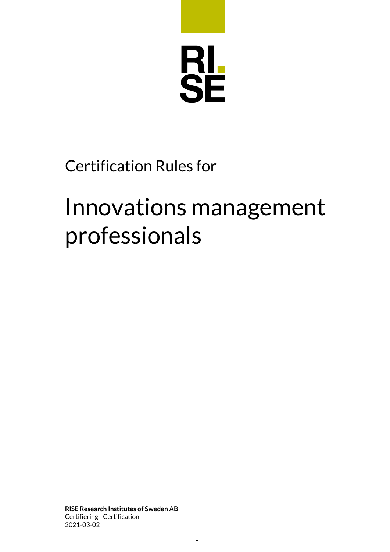

# Certification Rules for

# Innovations management professionals

**RISE Research Institutes of Sweden AB** Certifiering - Certification 2021-03-02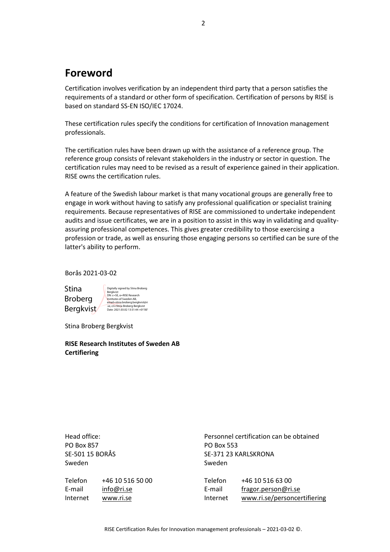# **Foreword**

Certification involves verification by an independent third party that a person satisfies the requirements of a standard or other form of specification. Certification of persons by RISE is based on standard SS-EN ISO/IEC 17024.

These certification rules specify the conditions for certification of Innovation management professionals.

The certification rules have been drawn up with the assistance of a reference group. The reference group consists of relevant stakeholders in the industry or sector in question. The certification rules may need to be revised as a result of experience gained in their application. RISE owns the certification rules.

A feature of the Swedish labour market is that many vocational groups are generally free to engage in work without having to satisfy any professional qualification or specialist training requirements. Because representatives of RISE are commissioned to undertake independent audits and issue certificates, we are in a position to assist in this way in validating and qualityassuring professional competences. This gives greater credibility to those exercising a profession or trade, as well as ensuring those engaging persons so certified can be sure of the latter's ability to perform.

Borås 2021-03-02

Stina Broberg Bergkvist

Digitally signed by Stina Broberg<br>Bergkvist<br>DN: c=SE, o=RISE Research<br>Institutes of Sweden AB,<br>email=stina.broberg.bergkvist@ri<br>S.e, cn=Stina Broberg.Bergkvist<br>Date: 2021.03.02 13:51:44 +01'00

Stina Broberg Bergkvist

**RISE Research Institutes of Sweden AB Certifiering**

| Head office:<br>PO Box 857<br>SE-501 15 BORÅS<br>Sweden |                                | Sweden            | Personnel certification can be obtained<br><b>PO Box 553</b><br>SE-371 23 KARLSKRONA |  |
|---------------------------------------------------------|--------------------------------|-------------------|--------------------------------------------------------------------------------------|--|
| Telefon<br>E-mail                                       | +46 10 516 50 00<br>info@ri.se | Telefon<br>E-mail | +46 10 516 63 00<br>fragor.person@ri.se                                              |  |
| Internet                                                | www.ri.se                      | Internet          | www.ri.se/personcertifiering                                                         |  |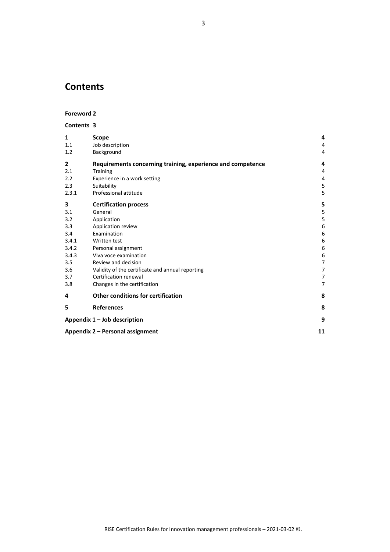# **Contents**

#### **Foreword 2**

#### **Contents 3**

| $\mathbf{1}$<br>1.1<br>1.2                                                           | <b>Scope</b><br>Job description<br>Background                                                                                                                                                                                                                                                   | 4<br>4<br>4                                                                                            |
|--------------------------------------------------------------------------------------|-------------------------------------------------------------------------------------------------------------------------------------------------------------------------------------------------------------------------------------------------------------------------------------------------|--------------------------------------------------------------------------------------------------------|
| 2<br>2.1<br>2.2<br>2.3<br>2.3.1                                                      | Requirements concerning training, experience and competence<br><b>Training</b><br>Experience in a work setting<br>Suitability<br>Professional attitude                                                                                                                                          | 4<br>4<br>4<br>5<br>5                                                                                  |
| 3<br>3.1<br>3.2<br>3.3<br>3.4<br>3.4.1<br>3.4.2<br>3.4.3<br>3.5<br>3.6<br>3.7<br>3.8 | <b>Certification process</b><br>General<br>Application<br>Application review<br>Examination<br>Written test<br>Personal assignment<br>Viva voce examination<br>Review and decision<br>Validity of the certificate and annual reporting<br>Certification renewal<br>Changes in the certification | 5<br>$\mathsf S$<br>$\mathsf S$<br>6<br>6<br>6<br>6<br>6<br>$\overline{7}$<br>7<br>7<br>$\overline{7}$ |
| 4                                                                                    | <b>Other conditions for certification</b>                                                                                                                                                                                                                                                       | 8                                                                                                      |
| 5                                                                                    | <b>References</b>                                                                                                                                                                                                                                                                               | 8                                                                                                      |
| Appendix $1 -$ Job description                                                       |                                                                                                                                                                                                                                                                                                 |                                                                                                        |
| Appendix 2 - Personal assignment                                                     |                                                                                                                                                                                                                                                                                                 |                                                                                                        |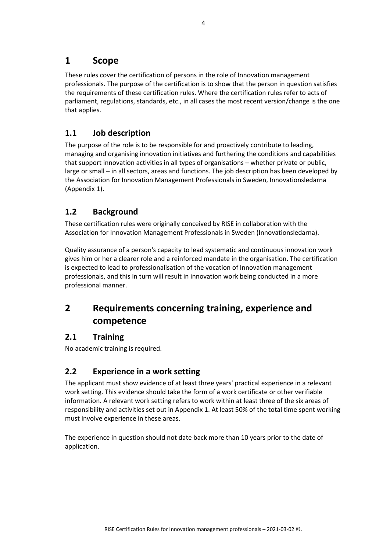## **1 Scope**

These rules cover the certification of persons in the role of Innovation management professionals. The purpose of the certification is to show that the person in question satisfies the requirements of these certification rules. Where the certification rules refer to acts of parliament, regulations, standards, etc., in all cases the most recent version/change is the one that applies.

#### **1.1 Job description**

The purpose of the role is to be responsible for and proactively contribute to leading, managing and organising innovation initiatives and furthering the conditions and capabilities that support innovation activities in all types of organisations – whether private or public, large or small – in all sectors, areas and functions. The job description has been developed by the Association for Innovation Management Professionals in Sweden, Innovationsledarna (Appendix 1).

#### **1.2 Background**

These certification rules were originally conceived by RISE in collaboration with the Association for Innovation Management Professionals in Sweden (Innovationsledarna).

Quality assurance of a person's capacity to lead systematic and continuous innovation work gives him or her a clearer role and a reinforced mandate in the organisation. The certification is expected to lead to professionalisation of the vocation of Innovation management professionals, and this in turn will result in innovation work being conducted in a more professional manner.

# **2 Requirements concerning training, experience and competence**

#### **2.1 Training**

No academic training is required.

#### **2.2 Experience in a work setting**

The applicant must show evidence of at least three years' practical experience in a relevant work setting. This evidence should take the form of a work certificate or other verifiable information. A relevant work setting refers to work within at least three of the six areas of responsibility and activities set out in Appendix 1. At least 50% of the total time spent working must involve experience in these areas.

The experience in question should not date back more than 10 years prior to the date of application.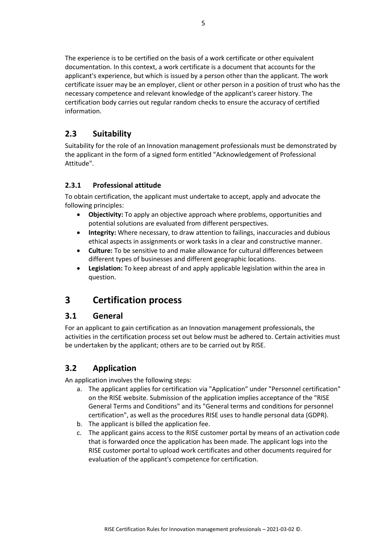The experience is to be certified on the basis of a work certificate or other equivalent documentation. In this context, a work certificate is a document that accounts for the applicant's experience, but which is issued by a person other than the applicant. The work certificate issuer may be an employer, client or other person in a position of trust who has the necessary competence and relevant knowledge of the applicant's career history. The certification body carries out regular random checks to ensure the accuracy of certified information.

#### **2.3 Suitability**

Suitability for the role of an Innovation management professionals must be demonstrated by the applicant in the form of a signed form entitled "Acknowledgement of Professional Attitude".

#### **2.3.1 Professional attitude**

To obtain certification, the applicant must undertake to accept, apply and advocate the following principles:

- **Objectivity:** To apply an objective approach where problems, opportunities and potential solutions are evaluated from different perspectives.
- **Integrity:** Where necessary, to draw attention to failings, inaccuracies and dubious ethical aspects in assignments or work tasks in a clear and constructive manner.
- **Culture:** To be sensitive to and make allowance for cultural differences between different types of businesses and different geographic locations.
- **Legislation:** To keep abreast of and apply applicable legislation within the area in question.

### **3 Certification process**

#### **3.1 General**

For an applicant to gain certification as an Innovation management professionals, the activities in the certification process set out below must be adhered to. Certain activities must be undertaken by the applicant; others are to be carried out by RISE.

### **3.2 Application**

An application involves the following steps:

- a. The applicant applies for certification via "Application" under "Personnel certification" on the RISE website. Submission of the application implies acceptance of the "RISE General Terms and Conditions" and its "General terms and conditions for personnel certification", as well as the procedures RISE uses to handle personal data (GDPR).
- b. The applicant is billed the application fee.
- c. The applicant gains access to the RISE customer portal by means of an activation code that is forwarded once the application has been made. The applicant logs into the RISE customer portal to upload work certificates and other documents required for evaluation of the applicant's competence for certification.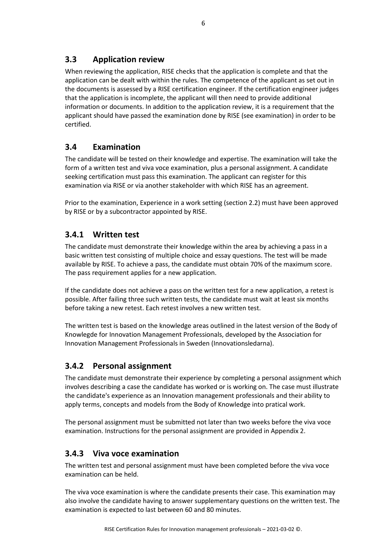#### **3.3 Application review**

When reviewing the application, RISE checks that the application is complete and that the application can be dealt with within the rules. The competence of the applicant as set out in the documents is assessed by a RISE certification engineer. If the certification engineer judges that the application is incomplete, the applicant will then need to provide additional information or documents. In addition to the application review, it is a requirement that the applicant should have passed the examination done by RISE (see examination) in order to be certified.

#### **3.4 Examination**

The candidate will be tested on their knowledge and expertise. The examination will take the form of a written test and viva voce examination, plus a personal assignment. A candidate seeking certification must pass this examination. The applicant can register for this examination via RISE or via another stakeholder with which RISE has an agreement.

Prior to the examination, Experience in a work setting (section 2.2) must have been approved by RISE or by a subcontractor appointed by RISE.

#### **3.4.1 Written test**

The candidate must demonstrate their knowledge within the area by achieving a pass in a basic written test consisting of multiple choice and essay questions. The test will be made available by RISE. To achieve a pass, the candidate must obtain 70% of the maximum score. The pass requirement applies for a new application.

If the candidate does not achieve a pass on the written test for a new application, a retest is possible. After failing three such written tests, the candidate must wait at least six months before taking a new retest. Each retest involves a new written test.

The written test is based on the knowledge areas outlined in the latest version of the Body of Knowlegde for Innovation Management Professionals, developed by the Association for Innovation Management Professionals in Sweden (Innovationsledarna).

#### **3.4.2 Personal assignment**

The candidate must demonstrate their experience by completing a personal assignment which involves describing a case the candidate has worked or is working on. The case must illustrate the candidate's experience as an Innovation management professionals and their ability to apply terms, concepts and models from the Body of Knowledge into pratical work.

The personal assignment must be submitted not later than two weeks before the viva voce examination. Instructions for the personal assignment are provided in Appendix 2.

#### **3.4.3 Viva voce examination**

The written test and personal assignment must have been completed before the viva voce examination can be held.

The viva voce examination is where the candidate presents their case. This examination may also involve the candidate having to answer supplementary questions on the written test. The examination is expected to last between 60 and 80 minutes.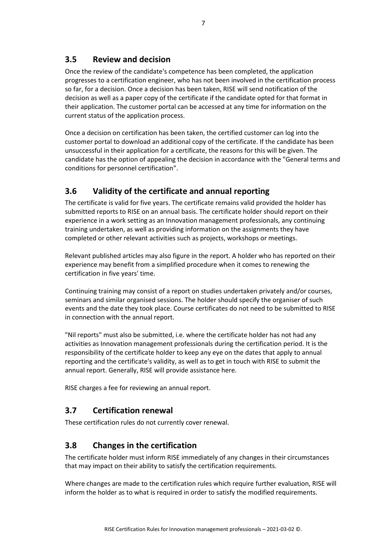#### **3.5 Review and decision**

Once the review of the candidate's competence has been completed, the application progresses to a certification engineer, who has not been involved in the certification process so far, for a decision. Once a decision has been taken, RISE will send notification of the decision as well as a paper copy of the certificate if the candidate opted for that format in their application. The customer portal can be accessed at any time for information on the current status of the application process.

Once a decision on certification has been taken, the certified customer can log into the customer portal to download an additional copy of the certificate. If the candidate has been unsuccessful in their application for a certificate, the reasons for this will be given. The candidate has the option of appealing the decision in accordance with the "General terms and conditions for personnel certification".

#### **3.6 Validity of the certificate and annual reporting**

The certificate is valid for five years. The certificate remains valid provided the holder has submitted reports to RISE on an annual basis. The certificate holder should report on their experience in a work setting as an Innovation management professionals, any continuing training undertaken, as well as providing information on the assignments they have completed or other relevant activities such as projects, workshops or meetings.

Relevant published articles may also figure in the report. A holder who has reported on their experience may benefit from a simplified procedure when it comes to renewing the certification in five years' time.

Continuing training may consist of a report on studies undertaken privately and/or courses, seminars and similar organised sessions. The holder should specify the organiser of such events and the date they took place. Course certificates do not need to be submitted to RISE in connection with the annual report.

"Nil reports" must also be submitted, i.e. where the certificate holder has not had any activities as Innovation management professionals during the certification period. It is the responsibility of the certificate holder to keep any eye on the dates that apply to annual reporting and the certificate's validity, as well as to get in touch with RISE to submit the annual report. Generally, RISE will provide assistance here.

RISE charges a fee for reviewing an annual report.

#### **3.7 Certification renewal**

These certification rules do not currently cover renewal.

#### **3.8 Changes in the certification**

The certificate holder must inform RISE immediately of any changes in their circumstances that may impact on their ability to satisfy the certification requirements.

Where changes are made to the certification rules which require further evaluation, RISE will inform the holder as to what is required in order to satisfy the modified requirements.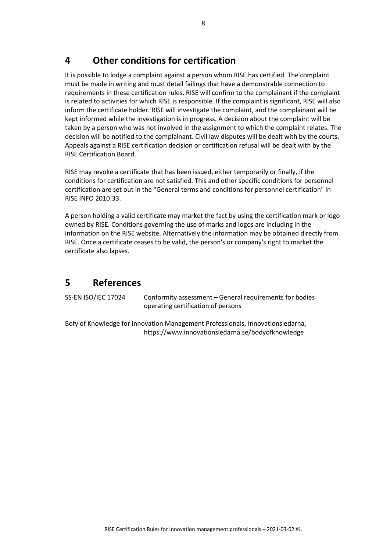# **4 Other conditions for certification**

It is possible to lodge a complaint against a person whom RISE has certified. The complaint must be made in writing and must detail failings that have a demonstrable connection to requirements in these certification rules. RISE will confirm to the complainant if the complaint is related to activities for which RISE is responsible. If the complaint is significant, RISE will also inform the certificate holder. RISE will investigate the complaint, and the complainant will be kept informed while the investigation is in progress. A decision about the complaint will be taken by a person who was not involved in the assignment to which the complaint relates. The decision will be notified to the complainant. Civil law disputes will be dealt with by the courts. Appeals against a RISE certification decision or certification refusal will be dealt with by the RISE Certification Board.

RISE may revoke a certificate that has been issued, either temporarily or finally, if the conditions for certification are not satisfied. This and other specific conditions for personnel certification are set out in the "General terms and conditions for personnel certification" in RISE INFO 2010:33.

A person holding a valid certificate may market the fact by using the certification mark or logo owned by RISE. Conditions governing the use of marks and logos are including in the information on the RISE website. Alternatively the information may be obtained directly from RISE. Once a certificate ceases to be valid, the person's or company's right to market the certificate also lapses.

### **5 References**

SS-EN ISO/IEC 17024 Conformity assessment – General requirements for bodies operating certification of persons

Bofy of Knowledge for Innovation Management Professionals, Innovationsledarna, https://www.innovationsledarna.se/bodyofknowledge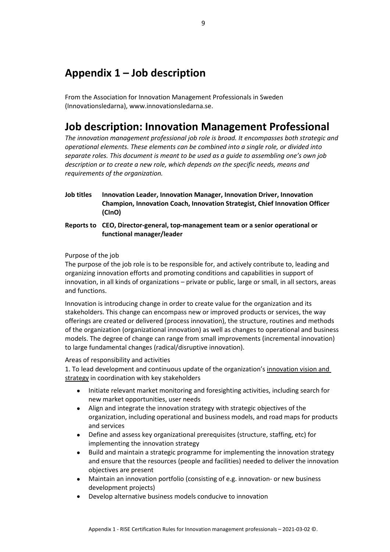# **Appendix 1 – Job description**

From the Association for Innovation Management Professionals in Sweden (Innovationsledarna), www.innovationsledarna.se.

# **Job description: Innovation Management Professional**

*The innovation management professional job role is broad. It encompasses both strategic and operational elements. These elements can be combined into a single role, or divided into separate roles. This document is meant to be used as a guide to assembling one's own job description or to create a new role, which depends on the specific needs, means and requirements of the organization.*

- **Job titles Innovation Leader, Innovation Manager, Innovation Driver, Innovation Champion, Innovation Coach, Innovation Strategist, Chief Innovation Officer (CInO)**
- **Reports to CEO, Director-general, top-management team or a senior operational or functional manager/leader**

#### Purpose of the job

The purpose of the job role is to be responsible for, and actively contribute to, leading and organizing innovation efforts and promoting conditions and capabilities in support of innovation, in all kinds of organizations – private or public, large or small, in all sectors, areas and functions.

Innovation is introducing change in order to create value for the organization and its stakeholders. This change can encompass new or improved products or services, the way offerings are created or delivered (process innovation), the structure, routines and methods of the organization (organizational innovation) as well as changes to operational and business models. The degree of change can range from small improvements (incremental innovation) to large fundamental changes (radical/disruptive innovation).

#### Areas of responsibility and activities

1. To lead development and continuous update of the organization's innovation vision and strategy in coordination with key stakeholders

- Initiate relevant market monitoring and foresighting activities, including search for new market opportunities, user needs
- Align and integrate the innovation strategy with strategic objectives of the organization, including operational and business models, and road maps for products and services
- Define and assess key organizational prerequisites (structure, staffing, etc) for implementing the innovation strategy
- Build and maintain a strategic programme for implementing the innovation strategy and ensure that the resources (people and facilities) needed to deliver the innovation objectives are present
- Maintain an innovation portfolio (consisting of e.g. innovation- or new business development projects)
- Develop alternative business models conducive to innovation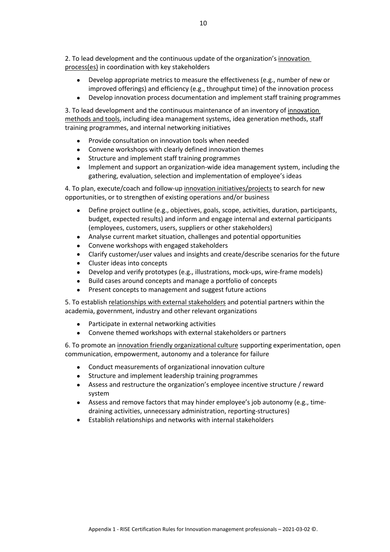2. To lead development and the continuous update of the organization's innovation process(es) in coordination with key stakeholders

- Develop appropriate metrics to measure the effectiveness (e.g., number of new or improved offerings) and efficiency (e.g., throughput time) of the innovation process
- Develop innovation process documentation and implement staff training programmes

3. To lead development and the continuous maintenance of an inventory of innovation methods and tools, including idea management systems, idea generation methods, staff training programmes, and internal networking initiatives

- Provide consultation on innovation tools when needed
- Convene workshops with clearly defined innovation themes
- Structure and implement staff training programmes
- Implement and support an organization-wide idea management system, including the gathering, evaluation, selection and implementation of employee's ideas

4. To plan, execute/coach and follow-up innovation initiatives/projects to search for new opportunities, or to strengthen of existing operations and/or business

- Define project outline (e.g., objectives, goals, scope, activities, duration, participants, budget, expected results) and inform and engage internal and external participants (employees, customers, users, suppliers or other stakeholders)
- Analyse current market situation, challenges and potential opportunities
- Convene workshops with engaged stakeholders
- Clarify customer/user values and insights and create/describe scenarios for the future
- Cluster ideas into concepts
- Develop and verify prototypes (e.g., illustrations, mock-ups, wire-frame models)
- Build cases around concepts and manage a portfolio of concepts
- Present concepts to management and suggest future actions

5. To establish relationships with external stakeholders and potential partners within the academia, government, industry and other relevant organizations

- Participate in external networking activities
- Convene themed workshops with external stakeholders or partners

6. To promote an innovation friendly organizational culture supporting experimentation, open communication, empowerment, autonomy and a tolerance for failure

- Conduct measurements of organizational innovation culture
- Structure and implement leadership training programmes
- Assess and restructure the organization's employee incentive structure / reward system
- Assess and remove factors that may hinder employee's job autonomy (e.g., timedraining activities, unnecessary administration, reporting-structures)
- Establish relationships and networks with internal stakeholders